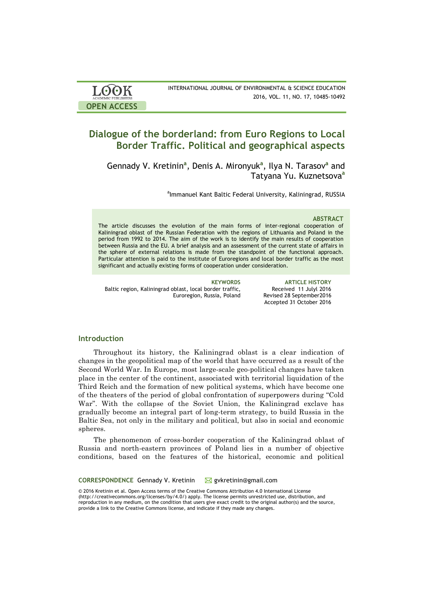| <b>LOOK</b>                | INTERNATIONAL JOURNAL OF ENVIRONMENTAL & SCIENCE EDUCATION |
|----------------------------|------------------------------------------------------------|
| <b>ACADEMIC PUBLISHERS</b> | 2016, VOL. 11, NO. 17, 10485-10492                         |
| <b>OPEN ACCESS</b>         |                                                            |

# **Dialogue of the borderland: from Euro Regions to Local Border Traffic. Political and geographical aspects**

Gennady V. Kretinin<sup>a</sup>, Denis A. Mironyuk<sup>a</sup>, Ilya N. Tarasov<sup>a</sup> and Tatyana Yu. Kuznetsova**<sup>a</sup>**

<sup>a</sup>lmmanuel Kant Baltic Federal University, Kaliningrad, RUSSIA

#### **ABSTRACT**

The article discusses the evolution of the main forms of inter-regional cooperation of Kaliningrad oblast of the Russian Federation with the regions of Lithuania and Poland in the period from 1992 to 2014. The aim of the work is to identify the main results of cooperation between Russia and the EU. A brief analysis and an assessment of the current state of affairs in the sphere of external relations is made from the standpoint of the functional approach. Particular attention is paid to the institute of Euroregions and local border traffic as the most significant and actually existing forms of cooperation under consideration.

Baltic region, Kaliningrad oblast, local border traffic, Euroregion, Russia, Poland

**KEYWORDS ARTICLE HISTORY** Received 11 Julyl 2016 Revised 28 September2016 Accepted 31 October 2016

## **Introduction**

Throughout its history, the Kaliningrad oblast is a clear indication of changes in the geopolitical map of the world that have occurred as a result of the Second World War. In Europe, most large-scale geo-political changes have taken place in the center of the continent, associated with territorial liquidation of the Third Reich and the formation of new political systems, which have become one of the theaters of the period of global confrontation of superpowers during "Cold War". With the collapse of the Soviet Union, the Kaliningrad exclave has gradually become an integral part of long-term strategy, to build Russia in the Baltic Sea, not only in the military and political, but also in social and economic spheres.

The phenomenon of cross-border cooperation of the Kaliningrad oblast of Russia and north-eastern provinces of Poland lies in a number of objective conditions, based on the features of the historical, economic and political

CORRESPONDENCE Gennady V. Kretinin **⊠** gykretinin@gmail.com

© 2016 Kretinin et al. Open Access terms of the Creative Commons Attribution 4.0 International License (http://creativecommons.org/licenses/by/4.0/) apply. The license permits unrestricted use, distribution, and reproduction in any medium, on the condition that users give exact credit to the original author(s) and the source, provide a link to the Creative Commons license, and indicate if they made any changes.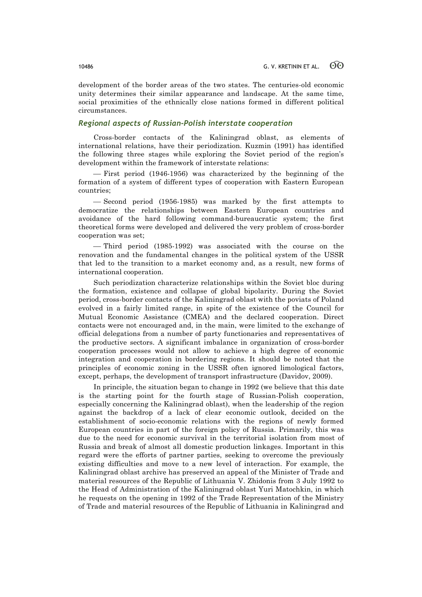development of the border areas of the two states. The centuries-old economic unity determines their similar appearance and landscape. At the same time, social proximities of the ethnically close nations formed in different political circumstances.

## *Regional aspects of Russian-Polish interstate cooperation*

Cross-border contacts of the Kaliningrad oblast, as elements of international relations, have their periodization. Kuzmin (1991) has identified the following three stages while exploring the Soviet period of the region's development within the framework of interstate relations:

- First period (1946-1956) was characterized by the beginning of the formation of a system of different types of cooperation with Eastern European countries;

¾ Second period (1956-1985) was marked by the first attempts to democratize the relationships between Eastern European countries and avoidance of the hard following command-bureaucratic system; the first theoretical forms were developed and delivered the very problem of cross-border cooperation was set;

¾ Third period (1985-1992) was associated with the course on the renovation and the fundamental changes in the political system of the USSR that led to the transition to a market economy and, as a result, new forms of international cooperation.

Such periodization characterize relationships within the Soviet bloc during the formation, existence and collapse of global bipolarity. During the Soviet period, cross-border contacts of the Kaliningrad oblast with the poviats of Poland evolved in a fairly limited range, in spite of the existence of the Council for Mutual Economic Assistance (CMEA) and the declared cooperation. Direct contacts were not encouraged and, in the main, were limited to the exchange of official delegations from a number of party functionaries and representatives of the productive sectors. A significant imbalance in organization of cross-border cooperation processes would not allow to achieve a high degree of economic integration and cooperation in bordering regions. It should be noted that the principles of economic zoning in the USSR often ignored limological factors, except, perhaps, the development of transport infrastructure (Davidov, 2009).

In principle, the situation began to change in 1992 (we believe that this date is the starting point for the fourth stage of Russian-Polish cooperation, especially concerning the Kaliningrad oblast), when the leadership of the region against the backdrop of a lack of clear economic outlook, decided on the establishment of socio-economic relations with the regions of newly formed European countries in part of the foreign policy of Russia. Primarily, this was due to the need for economic survival in the territorial isolation from most of Russia and break of almost all domestic production linkages. Important in this regard were the efforts of partner parties, seeking to overcome the previously existing difficulties and move to a new level of interaction. For example, the Kaliningrad oblast archive has preserved an appeal of the Minister of Trade and material resources of the Republic of Lithuania V. Zhidonis from 3 July 1992 to the Head of Administration of the Kaliningrad oblast Yuri Matochkin, in which he requests on the opening in 1992 of the Trade Representation of the Ministry of Trade and material resources of the Republic of Lithuania in Kaliningrad and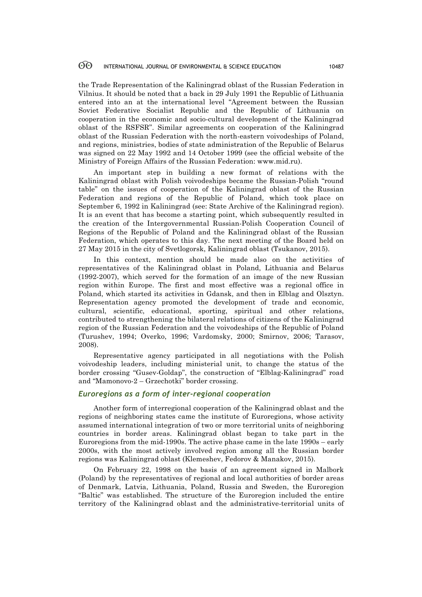#### 60 INTERNATIONAL JOURNAL OF ENVIRONMENTAL & SCIENCE EDUCATION 10487

the Trade Representation of the Kaliningrad oblast of the Russian Federation in Vilnius. It should be noted that a back in 29 July 1991 the Republic of Lithuania entered into an at the international level "Agreement between the Russian Soviet Federative Socialist Republic and the Republic of Lithuania on cooperation in the economic and socio-cultural development of the Kaliningrad oblast of the RSFSR". Similar agreements on cooperation of the Kaliningrad oblast of the Russian Federation with the north-eastern voivodeships of Poland, and regions, ministries, bodies of state administration of the Republic of Belarus was signed on 22 May 1992 and 14 October 1999 (see the official website of the Ministry of Foreign Affairs of the Russian Federation: www.mid.ru).

An important step in building a new format of relations with the Kaliningrad oblast with Polish voivodeships became the Russian-Polish "round table" on the issues of cooperation of the Kaliningrad oblast of the Russian Federation and regions of the Republic of Poland, which took place on September 6, 1992 in Kaliningrad (see: State Archive of the Kaliningrad region). It is an event that has become a starting point, which subsequently resulted in the creation of the Intergovernmental Russian-Polish Cooperation Council of Regions of the Republic of Poland and the Kaliningrad oblast of the Russian Federation, which operates to this day. The next meeting of the Board held on 27 May 2015 in the city of Svetlogorsk, Kaliningrad oblast (Tsukanov, 2015).

In this context, mention should be made also on the activities of representatives of the Kaliningrad oblast in Poland, Lithuania and Belarus (1992-2007), which served for the formation of an image of the new Russian region within Europe. The first and most effective was a regional office in Poland, which started its activities in Gdansk, and then in Elblag and Olsztyn. Representation agency promoted the development of trade and economic, cultural, scientific, educational, sporting, spiritual and other relations, contributed to strengthening the bilateral relations of citizens of the Kaliningrad region of the Russian Federation and the voivodeships of the Republic of Poland (Turushev, 1994; Overko, 1996; Vardomsky, 2000; Smirnov, 2006; Tarasov, 2008).

Representative agency participated in all negotiations with the Polish voivodeship leaders, including ministerial unit, to change the status of the border crossing "Gusev-Goldap", the construction of "Elblag-Kaliningrad" road and "Mamonovo-2 – Grzechotki" border crossing.

## *Euroregions as a form of inter-regional cooperation*

Another form of interregional cooperation of the Kaliningrad oblast and the regions of neighboring states came the institute of Euroregions, whose activity assumed international integration of two or more territorial units of neighboring countries in border areas. Kaliningrad oblast began to take part in the Euroregions from the mid-1990s. The active phase came in the late 1990s – early 2000s, with the most actively involved region among all the Russian border regions was Kaliningrad oblast (Klemeshev, Fedorov & Manakov, 2015).

On February 22, 1998 on the basis of an agreement signed in Malbork (Poland) by the representatives of regional and local authorities of border areas of Denmark, Latvia, Lithuania, Poland, Russia and Sweden, the Euroregion "Baltic" was established. The structure of the Euroregion included the entire territory of the Kaliningrad oblast and the administrative-territorial units of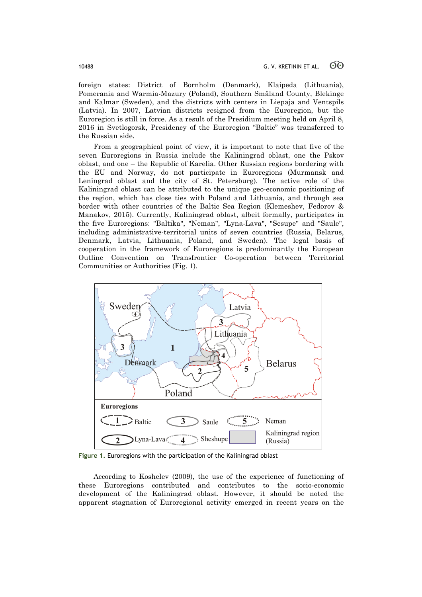foreign states: District of Bornholm (Denmark), Klaipeda (Lithuania), Pomerania and Warmia-Mazury (Poland), Southern Småland County, Blekinge and Kalmar (Sweden), and the districts with centers in Liepaja and Ventspils (Latvia). In 2007, Latvian districts resigned from the Euroregion, but the Euroregion is still in force. As a result of the Presidium meeting held on April 8, 2016 in Svetlogorsk, Presidency of the Euroregion "Baltic" was transferred to the Russian side.

From a geographical point of view, it is important to note that five of the seven Euroregions in Russia include the Kaliningrad oblast, one the Pskov oblast, and one – the Republic of Karelia. Other Russian regions bordering with the EU and Norway, do not participate in Euroregions (Murmansk and Leningrad oblast and the city of St. Petersburg). The active role of the Kaliningrad oblast can be attributed to the unique geo-economic positioning of the region, which has close ties with Poland and Lithuania, and through sea border with other countries of the Baltic Sea Region (Klemeshev, Fedorov & Manakov, 2015). Currently, Kaliningrad oblast, albeit formally, participates in the five Euroregions: "Baltika", "Neman", "Lyna-Lava", "Sesupe" and "Saule", including administrative-territorial units of seven countries (Russia, Belarus, Denmark, Latvia, Lithuania, Poland, and Sweden). The legal basis of cooperation in the framework of Euroregions is predominantly the European Outline Convention on Transfrontier Co-operation between Territorial Communities or Authorities (Fig. 1).



**Figure 1.** Euroregions with the participation of the Kaliningrad oblast

According to Koshelev (2009), the use of the experience of functioning of these Euroregions contributed and contributes to the socio-economic development of the Kaliningrad oblast. However, it should be noted the apparent stagnation of Euroregional activity emerged in recent years on the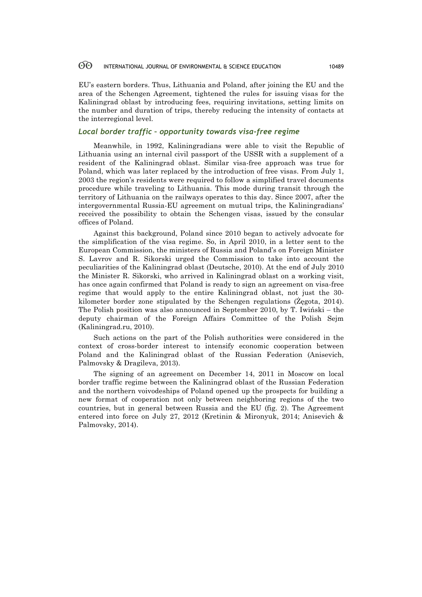#### 60 INTERNATIONAL JOURNAL OF ENVIRONMENTAL & SCIENCE EDUCATION 10489

EU's eastern borders. Thus, Lithuania and Poland, after joining the EU and the area of the Schengen Agreement, tightened the rules for issuing visas for the Kaliningrad oblast by introducing fees, requiring invitations, setting limits on the number and duration of trips, thereby reducing the intensity of contacts at the interregional level.

## *Local border traffic – opportunity towards visa-free regime*

Meanwhile, in 1992, Kaliningradians were able to visit the Republic of Lithuania using an internal civil passport of the USSR with a supplement of a resident of the Kaliningrad oblast. Similar visa-free approach was true for Poland, which was later replaced by the introduction of free visas. From July 1, 2003 the region's residents were required to follow a simplified travel documents procedure while traveling to Lithuania. This mode during transit through the territory of Lithuania on the railways operates to this day. Since 2007, after the intergovernmental Russia-EU agreement on mutual trips, the Kaliningradians' received the possibility to obtain the Schengen visas, issued by the consular offices of Poland.

Against this background, Poland since 2010 began to actively advocate for the simplification of the visa regime. So, in April 2010, in a letter sent to the European Commission, the ministers of Russia and Poland's on Foreign Minister S. Lavrov and R. Sikorski urged the Commission to take into account the peculiarities of the Kaliningrad oblast (Deutsche, 2010). At the end of July 2010 the Minister R. Sikorski, who arrived in Kaliningrad oblast on a working visit, has once again confirmed that Poland is ready to sign an agreement on visa-free regime that would apply to the entire Kaliningrad oblast, not just the 30 kilometer border zone stipulated by the Schengen regulations (Żęgota, 2014). The Polish position was also announced in September 2010, by T. Iwiński – the deputy chairman of the Foreign Affairs Committee of the Polish Sejm (Kaliningrad.ru, 2010).

Such actions on the part of the Polish authorities were considered in the context of cross-border interest to intensify economic cooperation between Poland and the Kaliningrad oblast of the Russian Federation (Anisevich, Palmovsky & Dragileva, 2013).

The signing of an agreement on December 14, 2011 in Moscow on local border traffic regime between the Kaliningrad oblast of the Russian Federation and the northern voivodeships of Poland opened up the prospects for building a new format of cooperation not only between neighboring regions of the two countries, but in general between Russia and the EU (fig. 2). The Agreement entered into force on July 27, 2012 (Kretinin & Mironyuk, 2014; Anisevich & Palmovsky, 2014).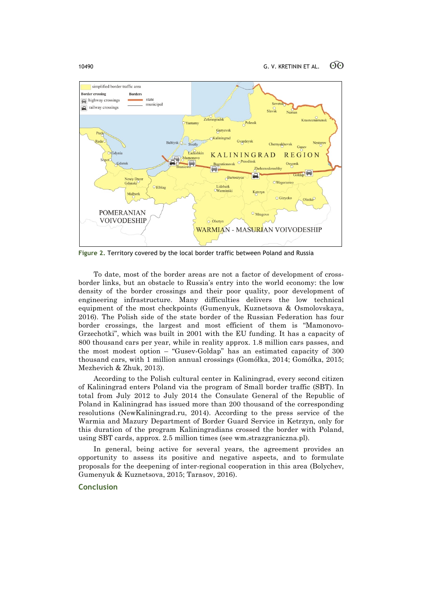

**Figure 2.** Territory covered by the local border traffic between Poland and Russia

To date, most of the border areas are not a factor of development of crossborder links, but an obstacle to Russia's entry into the world economy: the low density of the border crossings and their poor quality, poor development of engineering infrastructure. Many difficulties delivers the low technical equipment of the most checkpoints (Gumenyuk, Kuznetsova & Osmolovskaya, 2016). The Polish side of the state border of the Russian Federation has four border crossings, the largest and most efficient of them is "Mamonovo-Grzechotki", which was built in 2001 with the EU funding. It has a capacity of 800 thousand cars per year, while in reality approx. 1.8 million cars passes, and the most modest option – "Gusev-Goldap" has an estimated capacity of 300 thousand cars, with 1 million annual crossings (Gomółka, 2014; Gomółka, 2015; Mezhevich & Zhuk, 2013).

According to the Polish cultural center in Kaliningrad, every second citizen of Kaliningrad enters Poland via the program of Small border traffic (SBT). In total from July 2012 to July 2014 the Consulate General of the Republic of Poland in Kaliningrad has issued more than 200 thousand of the corresponding resolutions (NewKaliningrad.ru, 2014). According to the press service of the Warmia and Mazury Department of Border Guard Service in Ketrzyn, only for this duration of the program Kaliningradians crossed the border with Poland, using SBT cards, approx. 2.5 million times (see wm.strazgraniczna.pl).

In general, being active for several years, the agreement provides an opportunity to assess its positive and negative aspects, and to formulate proposals for the deepening of inter-regional cooperation in this area (Bolychev, Gumenyuk & Kuznetsova, 2015; Tarasov, 2016).

## **Conclusion**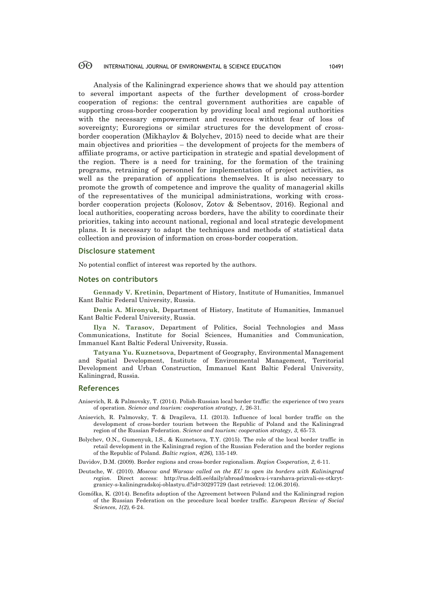#### 60 INTERNATIONAL JOURNAL OF ENVIRONMENTAL & SCIENCE EDUCATION 10491

Analysis of the Kaliningrad experience shows that we should pay attention to several important aspects of the further development of cross-border cooperation of regions: the central government authorities are capable of supporting cross-border cooperation by providing local and regional authorities with the necessary empowerment and resources without fear of loss of sovereignty; Euroregions or similar structures for the development of crossborder cooperation (Mikhaylov & Bolychev, 2015) need to decide what are their main objectives and priorities – the development of projects for the members of affiliate programs, or active participation in strategic and spatial development of the region. There is a need for training, for the formation of the training programs, retraining of personnel for implementation of project activities, as well as the preparation of applications themselves. It is also necessary to promote the growth of competence and improve the quality of managerial skills of the representatives of the municipal administrations, working with crossborder cooperation projects (Kolosov, Zotov & Sebentsov, 2016). Regional and local authorities, cooperating across borders, have the ability to coordinate their priorities, taking into account national, regional and local strategic development plans. It is necessary to adapt the techniques and methods of statistical data collection and provision of information on cross-border cooperation.

### **Disclosure statement**

No potential conflict of interest was reported by the authors.

### **Notes on contributors**

**Gennady V. Kretinin**, Department of History, Institute of Humanities, Immanuel Kant Baltic Federal University, Russia.

**Denis A. Mironyuk**, Department of History, Institute of Humanities, Immanuel Kant Baltic Federal University, Russia.

**Ilya N. Tarasov**, Department of Politics, Social Technologies and Mass Communications, Institute for Social Sciences, Humanities and Communication, Immanuel Kant Baltic Federal University, Russia.

**Tatyana Yu. Kuznetsova**, Department of Geography, Environmental Management and Spatial Development, Institute of Environmental Management, Territorial Development and Urban Construction, Immanuel Kant Baltic Federal University, Kaliningrad, Russia.

### **References**

- Anisevich, R. & Palmovsky, T. (2014). Polish-Russian local border traffic: the experience of two years of operation. *Science and tourism: cooperation strategy, 1,* 26-31.
- Anisevich, R. Palmovsky, T. & Dragileva, I.I. (2013). Influence of local border traffic on the development of cross-border tourism between the Republic of Poland and the Kaliningrad region of the Russian Federation. *Science and tourism: cooperation strategy, 3,* 65-73.
- Bolychev, O.N., Gumenyuk, I.S., & Kuznetsova, T.Y. (2015). The role of the local border traffic in retail development in the Kaliningrad region of the Russian Federation and the border regions of the Republic of Poland. *Baltic region*, *4(26),* 135-149.

Davidov, D.M. (2009). Border regions and cross-border regionalism. *Region Cooperation, 2,* 6-11.

- Deutsche, W. (2010). *Moscow and Warsaw called on the EU to open its borders with Kaliningrad region*. Direct access: http://rus.delfi.ee/daily/abroad/moskva-i-varshava-prizvali-es-otkrytgranicy-s-kaliningradskoj-oblastyu.d?id=30297729 (last retrieved: 12.06.2016).
- Gomółka, K. (2014). Benefits adoption of the Agreement between Poland and the Kaliningrad region of the Russian Federation on the procedure local border traffic. *European Review of Social Sciences*, *1(2),* 6-24.